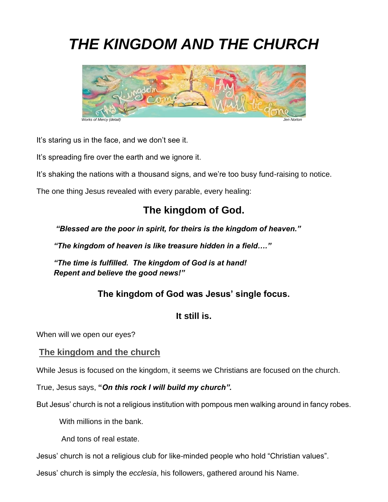# *THE KINGDOM AND THE CHURCH*



It's staring us in the face, and we don't see it.

It's spreading fire over the earth and we ignore it.

It's shaking the nations with a thousand signs, and we're too busy fund-raising to notice.

The one thing Jesus revealed with every parable, every healing:

# **The kingdom of God.**

*"Blessed are the poor in spirit, for theirs is the kingdom of heaven."*

*"The kingdom of heaven is like treasure hidden in a field…."*

*"The time is fulfilled. The kingdom of God is at hand! Repent and believe the good news!"* 

# **The kingdom of God was Jesus' single focus.**

# **It still is.**

When will we open our eyes?

## **The kingdom and the church**

While Jesus is focused on the kingdom, it seems we Christians are focused on the church.

True, Jesus says, **"***On this rock I will build my church".*

But Jesus' church is not a religious institution with pompous men walking around in fancy robes.

With millions in the bank.

And tons of real estate.

Jesus' church is not a religious club for like-minded people who hold "Christian values".

Jesus' church is simply the *ecclesia*, his followers, gathered around his Name.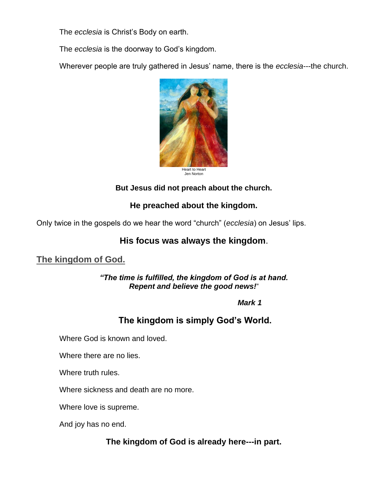The *ecclesia* is Christ's Body on earth.

The *ecclesia* is the doorway to God's kingdom.

Wherever people are truly gathered in Jesus' name, there is the *ecclesia*---the church.



## **But Jesus did not preach about the church.**

# **He preached about the kingdom.**

Only twice in the gospels do we hear the word "church" (*ecclesia*) on Jesus' lips.

# **His focus was always the kingdom**.

# **The kingdom of God.**

#### *"The time is fulfilled, the kingdom of God is at hand. Repent and believe the good news!*"

 *Mark 1*

# **The kingdom is simply God's World.**

Where God is known and loved.

Where there are no lies.

Where truth rules.

Where sickness and death are no more.

Where love is supreme.

And joy has no end.

## **The kingdom of God is already here---in part.**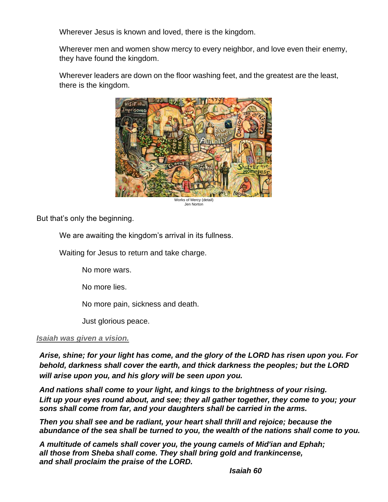Wherever Jesus is known and loved, there is the kingdom.

Wherever men and women show mercy to every neighbor, and love even their enemy, they have found the kingdom.

Wherever leaders are down on the floor washing feet, and the greatest are the least, there is the kingdom.



Jen Norton

But that's only the beginning.

We are awaiting the kingdom's arrival in its fullness.

Waiting for Jesus to return and take charge.

No more wars.

No more lies.

No more pain, sickness and death.

Just glorious peace.

#### *Isaiah was given a vision.*

*Arise, shine; for your light has come, and the glory of the LORD has risen upon you. For behold, darkness shall cover the earth, and thick darkness the peoples; but the LORD will arise upon you, and his glory will be seen upon you.*

*And nations shall come to your light, and kings to the brightness of your rising. Lift up your eyes round about, and see; they all gather together, they come to you; your sons shall come from far, and your daughters shall be carried in the arms.*

*Then you shall see and be radiant, your heart shall thrill and rejoice; because the abundance of the sea shall be turned to you, the wealth of the nations shall come to you.*

*A multitude of camels shall cover you, the young camels of Mid'ian and Ephah; all those from Sheba shall come. They shall bring gold and frankincense, and shall proclaim the praise of the LORD.*

*Isaiah 60*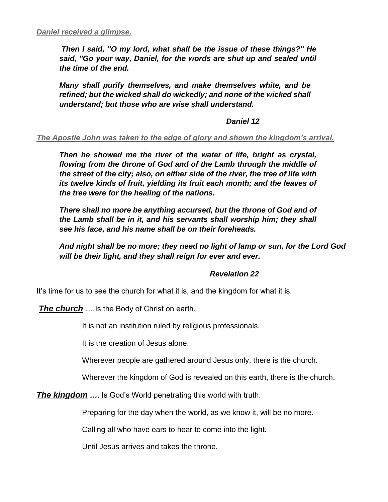*Then I said, "O my lord, what shall be the issue of these things?" He said, "Go your way, Daniel, for the words are shut up and sealed until the time of the end.*

*Many shall purify themselves, and make themselves white, and be refined; but the wicked shall do wickedly; and none of the wicked shall understand; but those who are wise shall understand.*

#### *Daniel 12*

#### *The Apostle John was taken to the edge of glory and shown the kingdom's arrival.*

*Then he showed me the river of the water of life, bright as crystal, flowing from the throne of God and of the Lamb through the middle of the street of the city; also, on either side of the river, the tree of life with its twelve kinds of fruit, yielding its fruit each month; and the leaves of the tree were for the healing of the nations.*

*There shall no more be anything accursed, but the throne of God and of the Lamb shall be in it, and his servants shall worship him; they shall see his face, and his name shall be on their foreheads.*

*And night shall be no more; they need no light of lamp or sun, for the Lord God will be their light, and they shall reign for ever and ever.* 

#### *Revelation 22*

It's time for us to see the church for what it is, and the kingdom for what it is.

*The church* ….Is the Body of Christ on earth.

It is not an institution ruled by religious professionals.

It is the creation of Jesus alone.

Wherever people are gathered around Jesus only, there is the church.

Wherever the kingdom of God is revealed on this earth, there is the church.

*The kingdom ….* Is God's World penetrating this world with truth.

Preparing for the day when the world, as we know it, will be no more.

Calling all who have ears to hear to come into the light.

Until Jesus arrives and takes the throne.